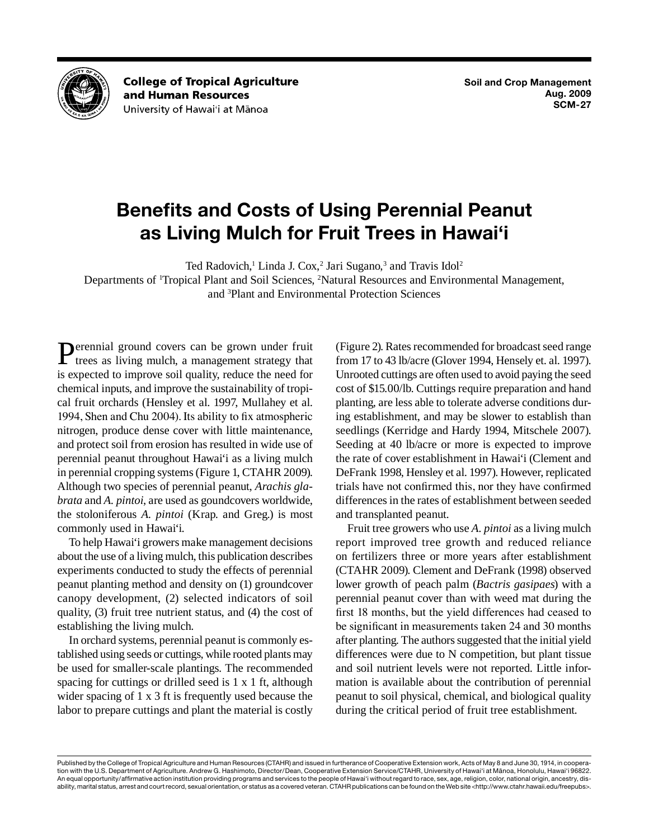

**College of Tropical Agriculture** and Human Resources University of Hawai'i at Mānoa

# **Benefits and Costs of Using Perennial Peanut as Living Mulch for Fruit Trees in Hawai'i**

Ted Radovich,<sup>1</sup> Linda J. Cox,<sup>2</sup> Jari Sugano,<sup>3</sup> and Travis Idol<sup>2</sup>

Departments of <sup>1</sup>Tropical Plant and Soil Sciences, <sup>2</sup>Natural Resources and Environmental Management, and 3 Plant and Environmental Protection Sciences

Perennial ground covers can be grown under fruit trees as living mulch, a management strategy that is expected to improve soil quality, reduce the need for chemical inputs, and improve the sustainability of tropical fruit orchards (Hensley et al. 1997, Mullahey et al. 1994, Shen and Chu 2004). Its ability to fix atmospheric nitrogen, produce dense cover with little maintenance, and protect soil from erosion has resulted in wide use of perennial peanut throughout Hawai'i as a living mulch in perennial cropping systems (Figure 1, CTAHR 2009). Although two species of perennial peanut, *Arachis glabrata* and *A. pintoi*, are used as goundcovers worldwide, the stoloniferous *A. pintoi* (Krap. and Greg.) is most commonly used in Hawai'i.

To help Hawai'i growers make management decisions about the use of a living mulch, this publication describes experiments conducted to study the effects of perennial peanut planting method and density on (1) groundcover canopy development, (2) selected indicators of soil quality, (3) fruit tree nutrient status, and (4) the cost of establishing the living mulch.

In orchard systems, perennial peanut is commonly established using seeds or cuttings, while rooted plants may be used for smaller-scale plantings. The recommended spacing for cuttings or drilled seed is 1 x 1 ft, although wider spacing of 1 x 3 ft is frequently used because the labor to prepare cuttings and plant the material is costly (Figure 2). Rates recommended for broadcast seed range from 17 to 43 lb/acre (Glover 1994, Hensely et. al. 1997). Unrooted cuttings are often used to avoid paying the seed cost of \$15.00/lb. Cuttings require preparation and hand planting, are less able to tolerate adverse conditions during establishment, and may be slower to establish than seedlings (Kerridge and Hardy 1994, Mitschele 2007). Seeding at 40 lb/acre or more is expected to improve the rate of cover establishment in Hawai'i (Clement and DeFrank 1998, Hensley et al. 1997). However, replicated trials have not confirmed this, nor they have confirmed differences in the rates of establishment between seeded and transplanted peanut.

Fruit tree growers who use *A. pintoi* as a living mulch report improved tree growth and reduced reliance on fertilizers three or more years after establishment (CTAHR 2009). Clement and DeFrank (1998) observed lower growth of peach palm (*Bactris gasipaes*) with a perennial peanut cover than with weed mat during the first 18 months, but the yield differences had ceased to be significant in measurements taken 24 and 30 months after planting. The authors suggested that the initial yield differences were due to N competition, but plant tissue and soil nutrient levels were not reported. Little information is available about the contribution of perennial peanut to soil physical, chemical, and biological quality during the critical period of fruit tree establishment.

Published by the College of Tropical Agriculture and Human Resources (CTAHR) and issued in furtherance of Cooperative Extension work, Acts of May 8 and June 30, 1914, in cooperation with the U.S. Department of Agriculture. Andrew G. Hashimoto, Director/Dean, Cooperative Extension Service/CTAHR, University of Hawai'i at Mānoa, Honolulu, Hawai'i 96822. An equal opportunity/affirmative action institution providing programs and services to the people of Hawai'i without regard to race, sex, age, religion, color, national origin, ancestry, disability, marital status, arrest and court record, sexual orientation, or status as a covered veteran. CTAHR publications can be found on the Web site <http://www.ctahr.hawaii.edu/freepubs>.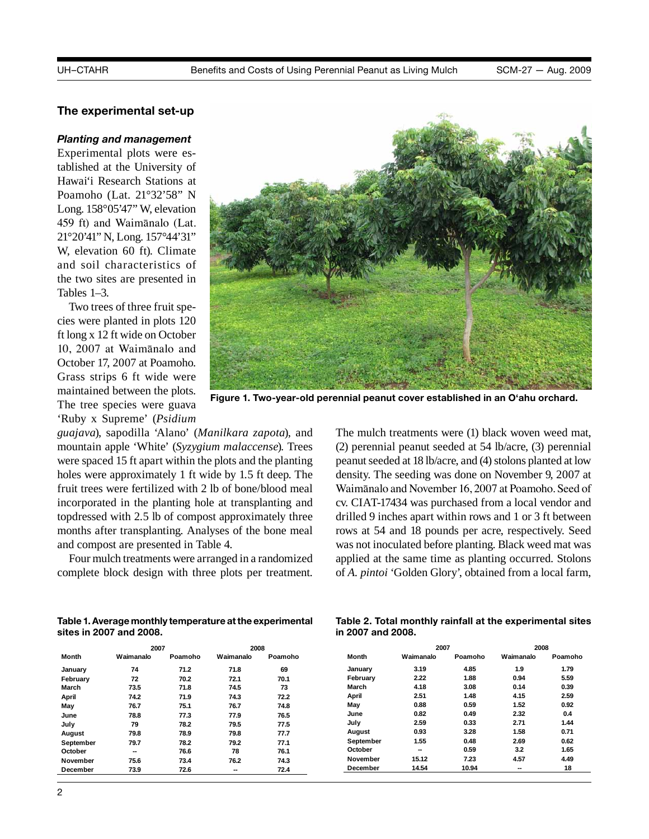# **The experimental set-up**

# **Planting and management** to solid perfect to solid perfect to solid perfect to solid perfect to solid perfect to solid perfect to solid perfect to solid perfect to solid perfect to solid perfect to solid perfect to solid

Experimental plots were established at the University of Hawai'i Research Stations at Hawai'i growers could make better management decisions in the long-run if they knew more Poamoho (Lat. 21°32'58" N 21°20'41" N, Long. 157°44'31" and soil characteristics of the two sites are presented in Tables 1–3.

Two trees of three fruit species were planted in plots 120 ft long x 12 ft wide on October 10, 2007 at Waimānalo and October 17, 2007 at Poamoho. Grass strips 6 ft wide were maintained between the plots. The tree species were guava 'Ruby x Supreme' (*Psidium* 

Long.  $158^{\circ}05'47''$  W, elevation  $\frac{1}{2}$  and density affects peak of  $\frac{1}{2}$  and  $\frac{1}{2}$  and  $\frac{1}{2}$  and  $\frac{1}{2}$  and  $\frac{1}{2}$  and  $\frac{1}{2}$  and  $\frac{1}{2}$  and  $\frac{1}{2}$  and  $\frac{1}{2}$  and  $\frac{1}{2}$  and  $\frac{1}{2}$ 459 ft) and Waimānalo (Lat.  $\frac{1}{2}$  and  $\frac{1}{2}$  and  $\frac{1}{2}$  and  $\frac{1}{2}$  and  $\frac{1}{2}$  and  $\frac{1}{2}$  and  $\frac{1}{2}$ W, elevation 60 ft). Climate  $\frac{1}{2}$  select indicators of solution  $\frac{1}{2}$  from  $\frac{1}{2}$  the cost of solution status, and 4)  $\frac{1}{2}$  from  $\frac{1}{2}$ 

**Figure 1. Two-year-old perennial peanut cover established in an O'ahu orchard.**

*guajava*), sapodilla 'Alano' (*Manilkara zapota*), and mountain apple 'White' (*Syzygium malaccense*). Trees were spaced 15 ft apart within the plots and the planting holes were approximately 1 ft wide by 1.5 ft deep. The fruit trees were fertilized with 2 lb of bone/blood meal incorporated in the planting hole at transplanting and mediporated in the planting note at transplanting and topdressed with 2.5 lb of compost approximately three months after transplanting. Analyses of the bone meal and compost are presented in Table 4.

Four mulch treatments were arranged in a randomized complete block design with three plots per treatment. ete block design with three plots per treatment. of *A. pintoi* 'Golden Glory', obtained from a local farm,

fter transplanting. Analyses of the bone meal rows at 54 and 18 pounds per acre, respectively. Seed mas not movemented service planting. Blue were mat was anged in a randomized applied at the same time as planting occurred. Stolons **Figure 2. Peanut establishing from**  (2) perennial peanut seeded at 54 lb/acre, (3) perennial **stolon cuttings.** peanut seeded at 18 lb/acre, and (4) stolons planted at low The mulch treatments were (1) black woven weed mat, density. The seeding was done on November 9, 2007 at Waimānalo and November 16, 2007 at Poamoho. Seed of cv. CIAT-17434 was purchased from a local vendor and drilled 9 inches apart within rows and 1 or 3 ft between was not inoculated before planting. Black weed mat was

| Table 1. Average monthly temperature at the experimental |  |
|----------------------------------------------------------|--|
| sites in 2007 and 2008.                                  |  |

|              | 2007      |         | 2008      |         |
|--------------|-----------|---------|-----------|---------|
| <b>Month</b> | Waimanalo | Poamoho | Waimanalo | Poamoho |
| January      | 74        | 71.2    | 71.8      | 69      |
| February     | 72        | 70.2    | 72.1      | 70.1    |
| March        | 73.5      | 71.8    | 74.5      | 73      |
| April        | 74.2      | 71.9    | 74.3      | 72.2    |
| May          | 76.7      | 75.1    | 76.7      | 74.8    |
| June         | 78.8      | 77.3    | 77.9      | 76.5    |
| July         | 79        | 78.2    | 79.5      | 77.5    |
| August       | 79.8      | 78.9    | 79.8      | 77.7    |
| September    | 79.7      | 78.2    | 79.2      | 77.1    |
| October      | --        | 76.6    | 78        | 76.1    |
| November     | 75.6      | 73.4    | 76.2      | 74.3    |
| December     | 73.9      | 72.6    | --        | 72.4    |

**Table 2. Total monthly rainfall at the experimental sites in Table 2. Total monthly rainfall at the experimental sites 2007 and 2008. in 2007 and 2008.**

|           | 2007      |         | 2008      |         |
|-----------|-----------|---------|-----------|---------|
| Month     | Waimanalo | Poamoho | Waimanalo | Poamoho |
| January   | 3.19      | 4.85    | 1.9       | 1.79    |
| February  | 2.22      | 1.88    | 0.94      | 5.59    |
| March     | 4.18      | 3.08    | 0.14      | 0.39    |
| April     | 2.51      | 1.48    | 4.15      | 2.59    |
| May       | 0.88      | 0.59    | 1.52      | 0.92    |
| June      | 0.82      | 0.49    | 2.32      | 0.4     |
| July      | 2.59      | 0.33    | 2.71      | 1.44    |
| August    | 0.93      | 3.28    | 1.58      | 0.71    |
| September | 1.55      | 0.48    | 2.69      | 0.62    |
| October   | --        | 0.59    | 3.2       | 1.65    |
| November  | 15.12     | 7.23    | 4.57      | 4.49    |
| December  | 14.54     | 10.94   | --        | 18      |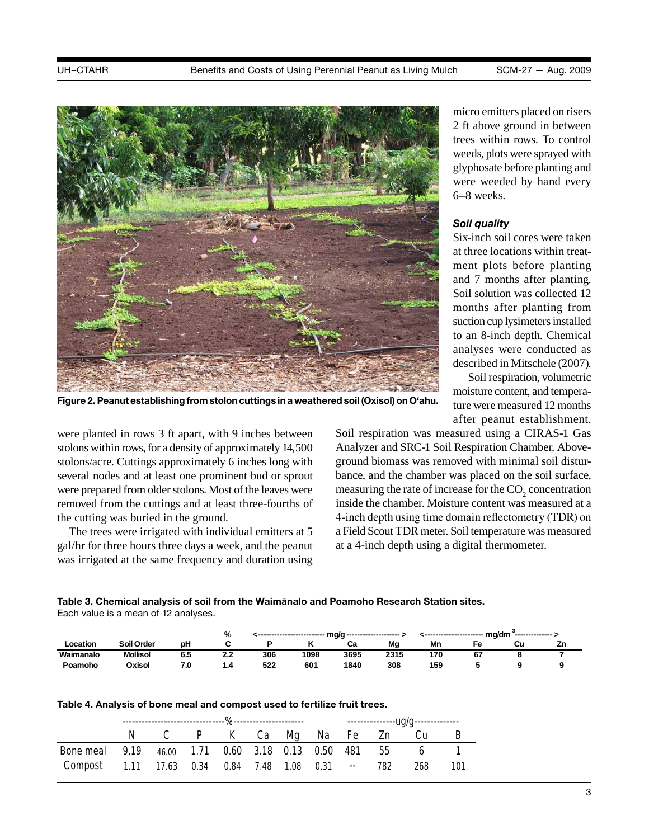

Figure 2. Peanut establishing from stolon cuttings in a weathered soil (Oxisol) on O'ahu.<br>Figure 2. Peanut establishing from stolon cuttings in a weathered soil (Oxisol) on O'ahu.

coveral podes and at least one prominent by several nodes and at least one prominent bud or sprout were prepared from older stolons. Most of the leaves were removed from the cuttings and at least three-fourths of **March 73.5 71.8 74.5 73**  the cutting was buried in the ground. stolons within rows, for a density of approximately 14,500 stolons/acre. Cuttings approximately 6 inches long with were planted in rows 3 ft apart, with 9 inches between

The trees were irrigated with individual emitters at 5 **June 78.8 77.3 77.9 76.5**  gal/hr for three hours three days a week, and the peanut was irrigated at the same frequency and duration was irrigated at the same frequency and duration using micro emitters placed on risers 2 ft above ground in between trees within rows. To control weeds, plots were sprayed with glyphosate before planting and were weeded by hand every 6–8 weeks.

### *Soil quality*

**Figure 2. Peace and 7 months after planting.** Six-inch soil cores were taken at three locations within treatment plots before planting Soil solution was collected 12 months after planting from suction cup lysimeters installed to an 8-inch depth. Chemical analyses were conducted as

> Soil respiration, volumetric moisture content, and temperature were measured 12 months after peanut establishment.

ance, and the chamber was placed on the sc bance, and the chamber was placed on the soil surface, measuring the rate of increase for the CO<sub>2</sub> concentration inside the chamber. Moisture content was measured at a **March 4.18 3.08 or 1.18 3.08 1.18 3.08 1.18 3.08 1.18 3.08 1.18 3.08 1.18 3.08 1.18 3.08 1.18 3.08 1.18 3.08 April 2.51 1.48 4.15 2.59**  4-inch depth using time domain reflectometry (TDR) on **May 0.88 0.59 1.52 0.92**  a Field Scout TDR meter. Soil temperature was measured **June 0.82 0.49 2.32 0.4**  at a 4-inch depth using a digital thermometer. Analyzer and SRC-1 Soil Respiration Chamber. Aboveground biomass was removed with minimal soil distur-Soil respiration was measured using a CIRAS-1 Gas

**December 73.9 72.6 -- 72.4 Table 3. Chemical analysis of soil from the Waimānalo and Poamoho Research Station sites. Table 3. Chemical analysis of soil from the Waimanalo and Poamoho experimental sites. Each value is a mean of 12 analyses.** Each value is a mean of 12 analyses.

|           |                 |     | %   |     | ------------------------- | - mg/g -------------------- |      |     | ; ---------------------- mg/dm | --------------- > |    |
|-----------|-----------------|-----|-----|-----|---------------------------|-----------------------------|------|-----|--------------------------------|-------------------|----|
| _ocation  | Soil Order      | рH  |     |     |                           | Cа                          | Mg   | Mn  | Fe                             | Cu                | Zn |
| Waimanalo | <b>Mollisol</b> | 6.5 | 22  | 306 | 1098                      | 3695                        | 2315 | 170 | 67                             |                   |    |
| Poamoho   | Oxisol          | 7.0 | 1.4 | 522 | 601                       | 1840                        | 308  | 159 |                                |                   |    |

| Table 4. Analysis of bone meal and compost used to fertilize fruit trees. |
|---------------------------------------------------------------------------|
|---------------------------------------------------------------------------|

|                                                        |  |  |  |  | C P K Ca Mg Na Fe Zn Cu |     | в    |
|--------------------------------------------------------|--|--|--|--|-------------------------|-----|------|
| Bone meal 9.19 46.00 1.71 0.60 3.18 0.13 0.50 481 55 6 |  |  |  |  |                         |     |      |
| Compost 1.11 17.63 0.34 0.84 7.48 1.08 0.31 -- 782     |  |  |  |  |                         | 268 | -101 |
|                                                        |  |  |  |  |                         |     |      |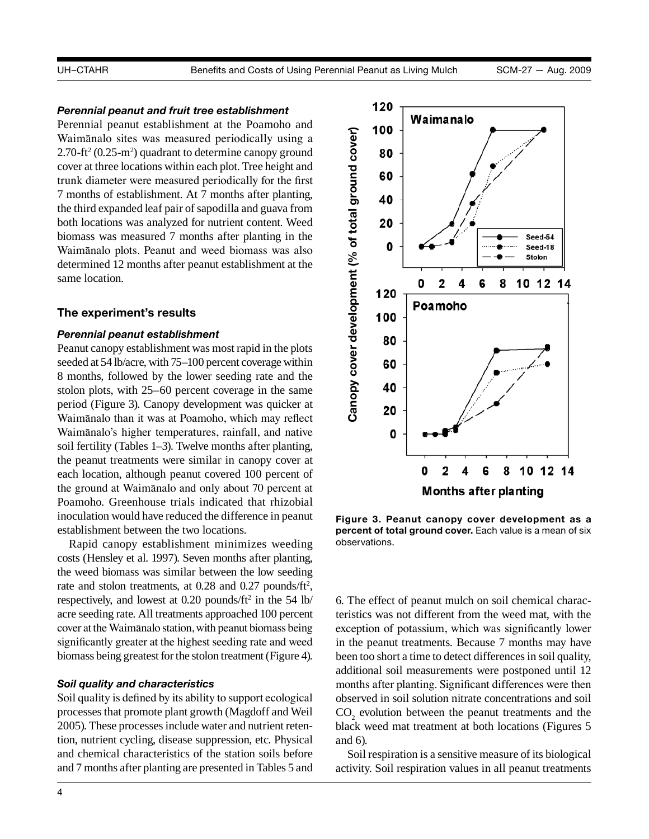# *Perennial peanut and fruit tree establishment*

Perennial peanut establishment at the Poamoho and Waimānalo sites was measured periodically using a  $2.70$ -ft<sup>2</sup> (0.25-m<sup>2</sup>) quadrant to determine canopy ground cover at three locations within each plot. Tree height and trunk diameter were measured periodically for the first 7 months of establishment. At 7 months after planting, the third expanded leaf pair of sapodilla and guava from both locations was analyzed for nutrient content. Weed biomass was measured 7 months after planting in the Waimānalo plots. Peanut and weed biomass was also determined 12 months after peanut establishment at the same location.

#### **The experiment's results**

# *Perennial peanut establishment*

Peanut canopy establishment was most rapid in the plots seeded at 54 lb/acre, with 75–100 percent coverage within 8 months, followed by the lower seeding rate and the stolon plots, with 25–60 percent coverage in the same period (Figure 3). Canopy development was quicker at Waimānalo than it was at Poamoho, which may reflect Waimānalo's higher temperatures, rainfall, and native soil fertility (Tables 1–3). Twelve months after planting, the peanut treatments were similar in canopy cover at each location, although peanut covered 100 percent of the ground at Waimānalo and only about 70 percent at Poamoho. Greenhouse trials indicated that rhizobial inoculation would have reduced the difference in peanut establishment between the two locations.

Rapid canopy establishment minimizes weeding costs (Hensley et al. 1997). Seven months after planting, the weed biomass was similar between the low seeding rate and stolon treatments, at  $0.28$  and  $0.27$  pounds/ft<sup>2</sup>, respectively, and lowest at 0.20 pounds/ft<sup>2</sup> in the 54 lb/ acre seeding rate. All treatments approached 100 percent cover at the Waimānalo station, with peanut biomass being significantly greater at the highest seeding rate and weed biomass being greatest for the stolon treatment (Figure 4).

# *Soil quality and characteristics*

Soil quality is defined by its ability to support ecological processes that promote plant growth (Magdoff and Weil 2005). These processes include water and nutrient retention, nutrient cycling, disease suppression, etc. Physical and chemical characteristics of the station soils before and 7 months after planting are presented in Tables 5 and



**Figure 3. Peanut canopy cover development as a percent of total ground cover.** Each value is a mean of six observations.

6. The effect of peanut mulch on soil chemical characteristics was not different from the weed mat, with the exception of potassium, which was significantly lower in the peanut treatments. Because 7 months may have been too short a time to detect differences in soil quality, additional soil measurements were postponed until 12 months after planting. Significant differences were then observed in soil solution nitrate concentrations and soil  $CO<sub>2</sub>$  evolution between the peanut treatments and the black weed mat treatment at both locations (Figures 5 and 6).

Soil respiration is a sensitive measure of its biological activity. Soil respiration values in all peanut treatments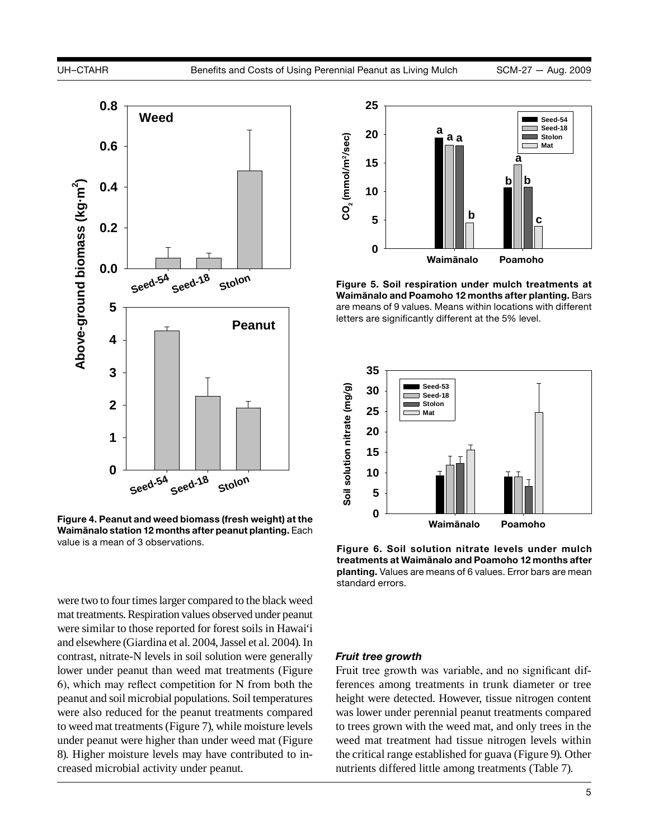

**Figure 4. Peanut and weed biomass (fresh weight) at the Waimānalo station 12 months after peanut planting.** Each value is a mean of 3 observations.

were two to four times larger compared to the black weed mat treatments. Respiration values observed under peanut were similar to those reported for forest soils in Hawai'i and elsewhere (Giardina et al. 2004, Jassel et al. 2004). In contrast, nitrate-N levels in soil solution were generally lower under peanut than weed mat treatments (Figure 6), which may reflect competition for N from both the peanut and soil microbial populations. Soil temperatures were also reduced for the peanut treatments compared to weed mat treatments (Figure 7), while moisture levels under peanut were higher than under weed mat (Figure 8). Higher moisture levels may have contributed to increased microbial activity under peanut.



**Figure 5. Soil respiration under mulch treatments at Waimānalo and Poamoho 12 months after planting.** Bars are means of 9 values. Means within locations with different letters are significantly different at the 5% level.



**Figure 6. Soil solution nitrate levels under mulch treatments at Waimānalo and Poamoho 12 months after planting.** Values are means of 6 values. Error bars are mean standard errors.

#### *Fruit tree growth*

Fruit tree growth was variable, and no significant differences among treatments in trunk diameter or tree height were detected. However, tissue nitrogen content was lower under perennial peanut treatments compared to trees grown with the weed mat, and only trees in the weed mat treatment had tissue nitrogen levels within the critical range established for guava (Figure 9). Other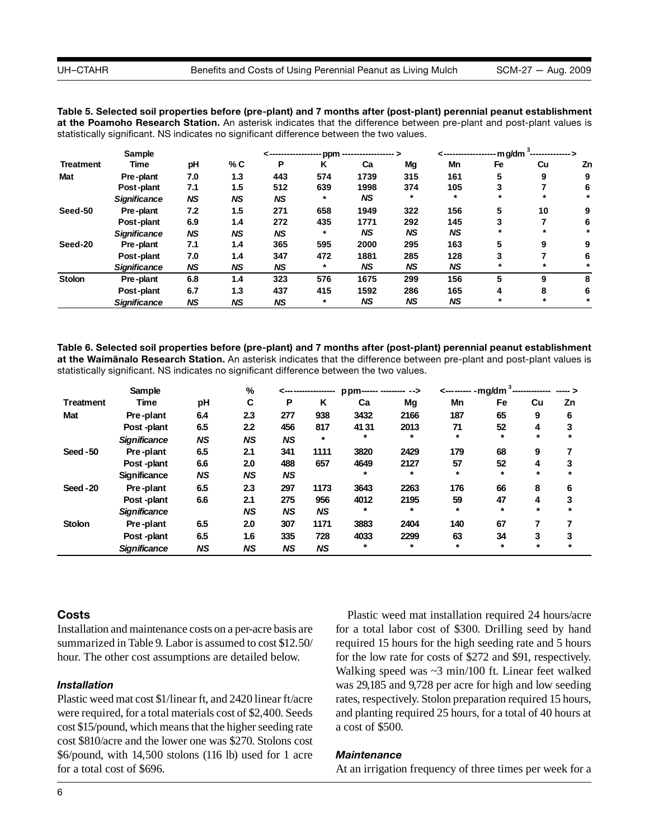were then observed in solution nitrate concentration nitrate concentrations and social CO2 evolution between t<br>The pearson of concentrations and social CO2 evolution between the pearson between the pearson of concentratio

| Table 5. Selected soil properties before (pre-plant) and 7 months after (post-plant) perennial peanut establishment   |
|-----------------------------------------------------------------------------------------------------------------------|
| at the Poamoho Research Station. An asterisk indicates that the difference between pre-plant and post-plant values is |
| statistically significant. NS indicates no significant difference between the two values.                             |

|                  | Sample              |           |           |           |         |           |           | ---------------- | $-mg/dm$ | --------------- > |    |
|------------------|---------------------|-----------|-----------|-----------|---------|-----------|-----------|------------------|----------|-------------------|----|
| <b>Treatment</b> | Time                | рH        | % C       | P         | Κ       | Ca        | Mg        | Mn               | Fe       | Cu                | Zn |
| Mat              | Pre-plant           | 7.0       | 1.3       | 443       | 574     | 1739      | 315       | 161              | 5        | 9                 |    |
|                  | Post-plant          | 7.1       | 1.5       | 512       | 639     | 1998      | 374       | 105              | 3        |                   | 6  |
|                  | <b>Significance</b> | <b>NS</b> | <b>NS</b> | <b>NS</b> | $\star$ | <b>NS</b> | $\star$   | $\star$          | $\star$  | $\star$           |    |
| Seed-50          | Pre-plant           | 7.2       | 1.5       | 271       | 658     | 1949      | 322       | 156              | 5        | 10                | 9  |
|                  | Post-plant          | 6.9       | 1.4       | 272       | 435     | 1771      | 292       | 145              | 3        |                   | 6  |
|                  | <b>Significance</b> | <b>NS</b> | <b>NS</b> | <b>NS</b> | $\star$ | <b>NS</b> | <b>NS</b> | <b>NS</b>        | $\star$  | $\star$           |    |
| Seed-20          | Pre-plant           | 7.1       | 1.4       | 365       | 595     | 2000      | 295       | 163              | 5        | 9                 | 9  |
|                  | Post-plant          | 7.0       | 1.4       | 347       | 472     | 1881      | 285       | 128              | 3        |                   | 6  |
|                  | <b>Significance</b> | <b>NS</b> | <b>NS</b> | <b>NS</b> | $\ast$  | <b>NS</b> | NS        | NS               | $\ast$   | $\star$           |    |
| <b>Stolon</b>    | Pre-plant           | 6.8       | 1.4       | 323       | 576     | 1675      | 299       | 156              | 5        | 9                 | 8  |
|                  | Post-plant          | 6.7       | 1.3       | 437       | 415     | 1592      | 286       | 165              | 4        | 8                 | 6  |
|                  | <b>Significance</b> | <b>NS</b> | <b>NS</b> | NS        | $\ast$  | NS        | NS        | NS               | $\ast$   | $\star$           |    |

<u>table 6. Selected soil properties before (pre-plant) and 7 months after (post-plant) perennial peanut establishm</u> Table 6. Selected soil properties before (pre-plant) and 7 months after (post-plant) perennial peanut establishment statistically significant. NS indicates no significant difference between the two values. statistically significant. NS indicates no significant difference between the two values. at the Waimanalo Research Station. An asterisk indicates that the difference between pre-plant and post-plant values is Table 6. Selected Soli properties before (pre-plant) and 7 months after (post-plant) perennial peanut esta

|                  | Sample              |           | %         |           |           | ppm------ -------- --> |         | <-------- -mg/dm <sup>3</sup> - |         |         |    |
|------------------|---------------------|-----------|-----------|-----------|-----------|------------------------|---------|---------------------------------|---------|---------|----|
| <b>Treatment</b> | <b>Time</b>         | pH        | C         | Р         | K         | Ca                     | Mg      | Mn                              | Fe      | Cu      | Zn |
| Mat              | Pre-plant           | 6.4       | 2.3       | 277       | 938       | 3432                   | 2166    | 187                             | 65      | 9       | 6  |
|                  | Post-plant          | 6.5       | 2.2       | 456       | 817       | 4131                   | 2013    | 71                              | 52      | 4       | 3  |
|                  | <b>Significance</b> | <b>NS</b> | <b>NS</b> | <b>NS</b> | $\star$   | $\ast$                 | $\star$ | $\star$                         | $\star$ | $\star$ |    |
| Seed-50          | Pre-plant           | 6.5       | 2.1       | 341       | 1111      | 3820                   | 2429    | 179                             | 68      | 9       |    |
|                  | Post-plant          | 6.6       | 2.0       | 488       | 657       | 4649                   | 2127    | 57                              | 52      | 4       | 3  |
|                  | <b>Significance</b> | <b>NS</b> | <b>NS</b> | <b>NS</b> |           | $\star$                | $\star$ | $\star$                         | $\star$ | $\star$ |    |
| Seed-20          | Pre-plant           | 6.5       | 2.3       | 297       | 1173      | 3643                   | 2263    | 176                             | 66      | 8       | 6  |
|                  | Post-plant          | 6.6       | 2.1       | 275       | 956       | 4012                   | 2195    | 59                              | 47      | 4       | 3  |
|                  | <b>Significance</b> |           | <b>NS</b> | <b>NS</b> | <b>NS</b> |                        | $\star$ | $\star$                         | $\star$ | $\star$ |    |
| <b>Stolon</b>    | Pre-plant           | 6.5       | 2.0       | 307       | 1171      | 3883                   | 2404    | 140                             | 67      |         |    |
|                  | Post-plant          | 6.5       | 1.6       | 335       | 728       | 4033                   | 2299    | 63                              | 34      | 3       | 3  |
|                  | <b>Significance</b> | <b>NS</b> | <b>NS</b> | <b>NS</b> | <b>NS</b> | $\ast$                 | $\star$ | $\star$                         | $\star$ | $\star$ |    |

# **Costs**

Installation and maintenance costs on a per-acre basis are summarized in Table 9. Labor is assumed to cost \$12.50/ hour. The other cost assumptions are detailed below.

#### *Installation*

Plastic weed mat cost \$1/linear ft, and 2420 linear ft/acre were required, for a total materials cost of \$2,400. Seeds cost \$15/pound, which means that the higher seeding rate cost \$810/acre and the lower one was \$270. Stolons cost \$6/pound, with 14,500 stolons (116 lb) used for 1 acre for a total cost of \$696.

Plastic weed mat installation required 24 hours/acre for a total labor cost of \$300. Drilling seed by hand required 15 hours for the high seeding rate and 5 hours for the low rate for costs of \$272 and \$91, respectively. Walking speed was ~3 min/100 ft. Linear feet walked was 29,185 and 9,728 per acre for high and low seeding rates, respectively. Stolon preparation required 15 hours, and planting required 25 hours, for a total of 40 hours at a cost of \$500.

#### *Maintenance*

At an irrigation frequency of three times per week for a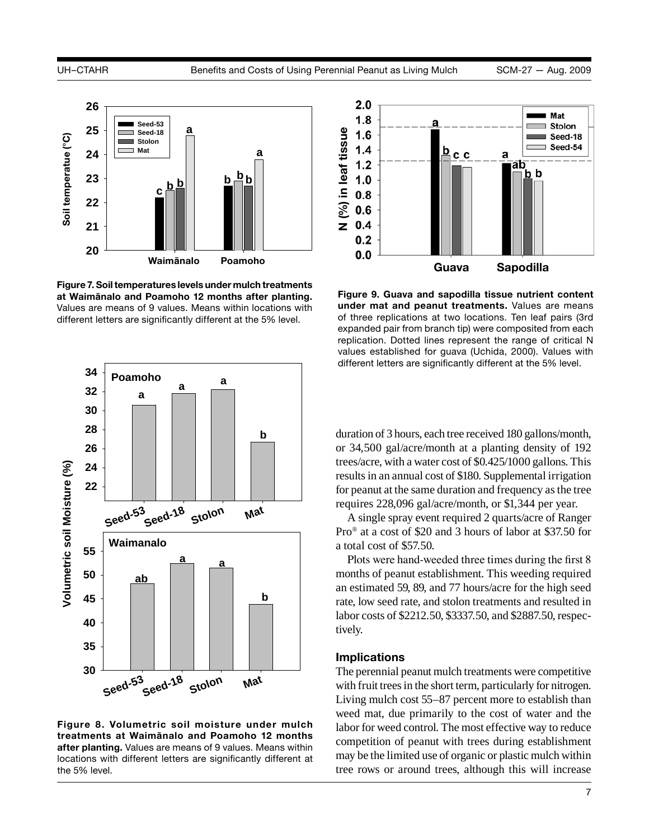

**Figure 7. Soil temperatures levels under mulch treatments at Waimānalo and Poamoho 12 months after planting.**  Values are means of 9 values. Means within locations with different letters are significantly different at the 5% level.



**Figure 8. Volumetric soil moisture under mulch treatments at Waimānalo and Poamoho 12 months after planting.** Values are means of 9 values. Means within locations with different letters are significantly different at the 5% level.



**Figure 9. Guava and sapodilla tissue nutrient content under mat and peanut treatments.** Values are means of three replications at two locations. Ten leaf pairs (3rd expanded pair from branch tip) were composited from each replication. Dotted lines represent the range of critical N values established for guava (Uchida, 2000). Values with different letters are significantly different at the 5% level.

duration of 3 hours, each tree received 180 gallons/month, or 34,500 gal/acre/month at a planting density of 192 trees/acre, with a water cost of \$0.425/1000 gallons. This results in an annual cost of \$180. Supplemental irrigation for peanut at the same duration and frequency as the tree requires 228,096 gal/acre/month, or \$1,344 per year.

A single spray event required 2 quarts/acre of Ranger Pro® at a cost of \$20 and 3 hours of labor at \$37.50 for a total cost of \$57.50.

Plots were hand-weeded three times during the first 8 months of peanut establishment. This weeding required an estimated 59, 89, and 77 hours/acre for the high seed rate, low seed rate, and stolon treatments and resulted in labor costs of \$2212.50, \$3337.50, and \$2887.50, respectively.

### **Implications**

The perennial peanut mulch treatments were competitive with fruit trees in the short term, particularly for nitrogen. Living mulch cost 55–87 percent more to establish than weed mat, due primarily to the cost of water and the labor for weed control. The most effective way to reduce competition of peanut with trees during establishment may be the limited use of organic or plastic mulch within tree rows or around trees, although this will increase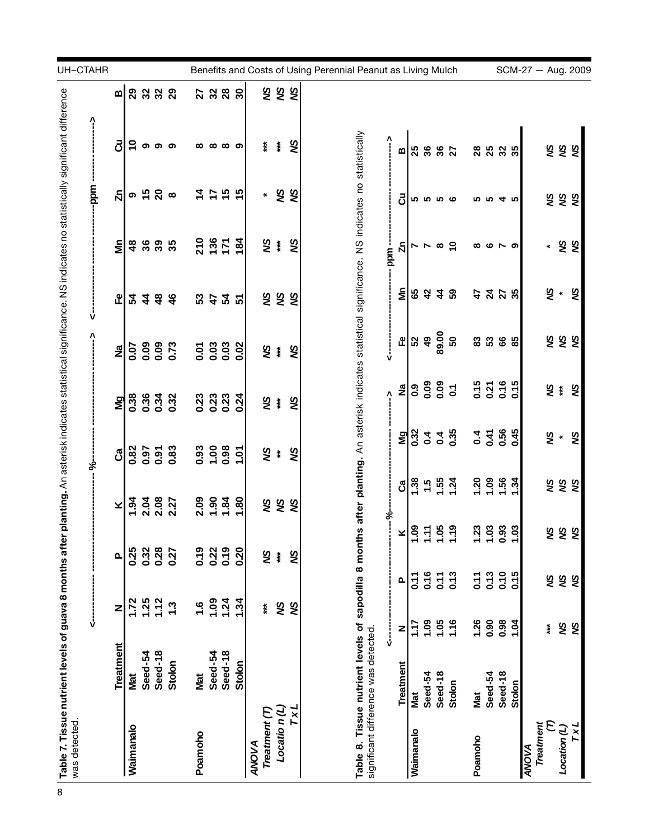| UH-CTAHR<br>Benefits and Costs of Using Perennial Peanut as Living Mulch<br>SCM-27 - Aug. 2009<br><b>रू है</b><br>2288<br>2232<br>$\pmb{\mathsf{m}}$<br>Table 8. Tissue nutrient levels of sapodilla 8 months after planting. An asterisk indicates statistical significance. NS indicates no statistically<br>Λ<br>రె<br>S<br>$\tilde{e}$<br>$\ddot{x}$<br>ţ<br>၈ ၈ ၈<br>$\infty$<br>∞ ာ<br>ထ<br><b>रू हैं</b><br><b>25</b><br>36<br>$36$<br>$27$<br><b>25 25 26</b><br>m<br>१८<br><b>၈ ± ၃</b><br>5 to<br>λī<br>$\frac{4}{7}$<br>$\ddot{ }$<br>$\infty$<br>$\star$<br><b>रू है</b><br>පි<br><b>5556</b><br>ທທ<br>4 ro<br>21357<br>i≹<br>SN<br>184<br>έ<br>30<br>30<br>35<br>SN<br>δÑ<br>$\frac{8}{3}$<br>$\infty$ $\infty$<br>ų<br>∼ ∼<br>∞ ဖ<br>$\pmb{\ast}$<br>॒<br>ppm<br>× š<br>έ<br>δÑ<br>49<br><b>65</b><br>42<br><b>4228</b><br>है है है<br>ى<br>L<br>54445<br>53455<br>89.00<br><b>SSS</b><br>$\overline{\mathbf{d}}$<br>${\tt 50}$<br>டீ<br>52<br>83888<br>88<br>0.00<br>0.0<br><u>ភូ ខ្ញុំ ខ្ញុំ</u><br>0.02<br>0.07<br><b>SA</b><br>SN<br>م<br>2<br>0.09<br>0.09<br>0.09<br>0.1<br>0.15<br>0.21<br>0.15<br>₹¥<br>δX<br>£<br>0.34<br>0.23<br>0.23<br>0.03<br>0.38<br>0.32<br>0.24<br>¥ ≸<br>S<br>ŊМ<br>$0.32$<br>$0.4$<br>$0.35$<br>$0.4$<br>0.56<br>0.45<br>» ج<br>ვ<br>ა<br>읭<br><b>93</b><br>0.98<br>0.9<br>0.87<br>0.97<br>0.83<br>प्ट<br>४<br>1.07<br>SA<br>යී<br>$1.56$<br>$1.52$<br>$1.54$<br>$7.30$<br>$7.56$<br>$7.34$<br>$\frac{38}{2}$<br>है है है<br>රී<br>$2.09$<br>$1.90$<br>$1.80$<br>$1.80$<br>194<br>2008<br>2007<br>2027<br><b>रू हैं</b><br>×<br>৯<br>$\mathbf{z}$  g $\mathbf{z}$ g $\mathbf{z}$<br>23<br>${\bf 3}$<br>0.93<br>१ ४ १<br>ᡪ<br>٣<br>0.22<br>0.19<br>0.32<br>0.28<br>0.19<br>0.20<br>0.25<br>0.27<br>SN<br>S<br>$\mathbf{\ddot{t}}$<br>Δ.<br>0.13<br>0.10<br>0.16<br>0.13<br>0.15<br>0.11<br>0.11<br>$5 - 0$<br>SN<br>SN<br>SN<br>Δ.<br>1.25<br>1.09<br>1.12<br>1.24<br>1.72<br>1.34<br>$\ddot{.}6$<br>S<br>1.3<br>SN<br>$\ddot{\tilde{k}}$<br>Z<br>1.26<br>0.90<br>1.09<br>1.05<br>1.16<br>0.98<br>104<br>1.17<br>SN<br>SN<br>$\ast$<br>z<br>significant difference was detected.<br>↓<br><b>Treatment</b><br>Seed-18<br>Seed-18<br>Seed-54<br>Seed-54<br>Stolon<br>Stolon<br>Treatment<br>Seed-18<br><b>Seed-54</b><br>Seed-18<br>Seed-54<br>Mat<br>Nat<br>Stolon<br>Stolon<br>Mat<br>Mat<br>Locatio n(L)<br>TxL<br>Treatment (T)<br>Е<br>Treatment<br>$\frac{1}{2}$<br>Location(L)<br>Waimanalo<br><b>Waimanalo</b><br>Poamoho<br>Poamoho<br>ANOVA<br><b>ANOVA</b> | was detected. | Table 7. Tissue nutrient levels of guava 8 months after planting. An asterisk indicates statistical significance. NS indicates no statistically significant difference | ļ |  | ৼ৾ | Λ |  | mdd- | î |
|--------------------------------------------------------------------------------------------------------------------------------------------------------------------------------------------------------------------------------------------------------------------------------------------------------------------------------------------------------------------------------------------------------------------------------------------------------------------------------------------------------------------------------------------------------------------------------------------------------------------------------------------------------------------------------------------------------------------------------------------------------------------------------------------------------------------------------------------------------------------------------------------------------------------------------------------------------------------------------------------------------------------------------------------------------------------------------------------------------------------------------------------------------------------------------------------------------------------------------------------------------------------------------------------------------------------------------------------------------------------------------------------------------------------------------------------------------------------------------------------------------------------------------------------------------------------------------------------------------------------------------------------------------------------------------------------------------------------------------------------------------------------------------------------------------------------------------------------------------------------------------------------------------------------------------------------------------------------------------------------------------------------------------------------------------------------------------------------------------------------------------------------------------------------------------------------------------------------------------------------------------------------------------------------------------------------------------------------------------------------------------------------------------------------------------------------------------------------------------------------------------------------|---------------|------------------------------------------------------------------------------------------------------------------------------------------------------------------------|---|--|----|---|--|------|---|
|                                                                                                                                                                                                                                                                                                                                                                                                                                                                                                                                                                                                                                                                                                                                                                                                                                                                                                                                                                                                                                                                                                                                                                                                                                                                                                                                                                                                                                                                                                                                                                                                                                                                                                                                                                                                                                                                                                                                                                                                                                                                                                                                                                                                                                                                                                                                                                                                                                                                                                                    |               |                                                                                                                                                                        |   |  |    |   |  |      |   |
|                                                                                                                                                                                                                                                                                                                                                                                                                                                                                                                                                                                                                                                                                                                                                                                                                                                                                                                                                                                                                                                                                                                                                                                                                                                                                                                                                                                                                                                                                                                                                                                                                                                                                                                                                                                                                                                                                                                                                                                                                                                                                                                                                                                                                                                                                                                                                                                                                                                                                                                    |               |                                                                                                                                                                        |   |  |    |   |  |      |   |
|                                                                                                                                                                                                                                                                                                                                                                                                                                                                                                                                                                                                                                                                                                                                                                                                                                                                                                                                                                                                                                                                                                                                                                                                                                                                                                                                                                                                                                                                                                                                                                                                                                                                                                                                                                                                                                                                                                                                                                                                                                                                                                                                                                                                                                                                                                                                                                                                                                                                                                                    |               |                                                                                                                                                                        |   |  |    |   |  |      |   |
|                                                                                                                                                                                                                                                                                                                                                                                                                                                                                                                                                                                                                                                                                                                                                                                                                                                                                                                                                                                                                                                                                                                                                                                                                                                                                                                                                                                                                                                                                                                                                                                                                                                                                                                                                                                                                                                                                                                                                                                                                                                                                                                                                                                                                                                                                                                                                                                                                                                                                                                    |               |                                                                                                                                                                        |   |  |    |   |  |      |   |
|                                                                                                                                                                                                                                                                                                                                                                                                                                                                                                                                                                                                                                                                                                                                                                                                                                                                                                                                                                                                                                                                                                                                                                                                                                                                                                                                                                                                                                                                                                                                                                                                                                                                                                                                                                                                                                                                                                                                                                                                                                                                                                                                                                                                                                                                                                                                                                                                                                                                                                                    |               |                                                                                                                                                                        |   |  |    |   |  |      |   |
|                                                                                                                                                                                                                                                                                                                                                                                                                                                                                                                                                                                                                                                                                                                                                                                                                                                                                                                                                                                                                                                                                                                                                                                                                                                                                                                                                                                                                                                                                                                                                                                                                                                                                                                                                                                                                                                                                                                                                                                                                                                                                                                                                                                                                                                                                                                                                                                                                                                                                                                    |               |                                                                                                                                                                        |   |  |    |   |  |      |   |
|                                                                                                                                                                                                                                                                                                                                                                                                                                                                                                                                                                                                                                                                                                                                                                                                                                                                                                                                                                                                                                                                                                                                                                                                                                                                                                                                                                                                                                                                                                                                                                                                                                                                                                                                                                                                                                                                                                                                                                                                                                                                                                                                                                                                                                                                                                                                                                                                                                                                                                                    |               |                                                                                                                                                                        |   |  |    |   |  |      |   |
|                                                                                                                                                                                                                                                                                                                                                                                                                                                                                                                                                                                                                                                                                                                                                                                                                                                                                                                                                                                                                                                                                                                                                                                                                                                                                                                                                                                                                                                                                                                                                                                                                                                                                                                                                                                                                                                                                                                                                                                                                                                                                                                                                                                                                                                                                                                                                                                                                                                                                                                    |               |                                                                                                                                                                        |   |  |    |   |  |      |   |
|                                                                                                                                                                                                                                                                                                                                                                                                                                                                                                                                                                                                                                                                                                                                                                                                                                                                                                                                                                                                                                                                                                                                                                                                                                                                                                                                                                                                                                                                                                                                                                                                                                                                                                                                                                                                                                                                                                                                                                                                                                                                                                                                                                                                                                                                                                                                                                                                                                                                                                                    |               |                                                                                                                                                                        |   |  |    |   |  |      |   |
|                                                                                                                                                                                                                                                                                                                                                                                                                                                                                                                                                                                                                                                                                                                                                                                                                                                                                                                                                                                                                                                                                                                                                                                                                                                                                                                                                                                                                                                                                                                                                                                                                                                                                                                                                                                                                                                                                                                                                                                                                                                                                                                                                                                                                                                                                                                                                                                                                                                                                                                    |               |                                                                                                                                                                        |   |  |    |   |  |      |   |
|                                                                                                                                                                                                                                                                                                                                                                                                                                                                                                                                                                                                                                                                                                                                                                                                                                                                                                                                                                                                                                                                                                                                                                                                                                                                                                                                                                                                                                                                                                                                                                                                                                                                                                                                                                                                                                                                                                                                                                                                                                                                                                                                                                                                                                                                                                                                                                                                                                                                                                                    |               |                                                                                                                                                                        |   |  |    |   |  |      |   |
|                                                                                                                                                                                                                                                                                                                                                                                                                                                                                                                                                                                                                                                                                                                                                                                                                                                                                                                                                                                                                                                                                                                                                                                                                                                                                                                                                                                                                                                                                                                                                                                                                                                                                                                                                                                                                                                                                                                                                                                                                                                                                                                                                                                                                                                                                                                                                                                                                                                                                                                    |               |                                                                                                                                                                        |   |  |    |   |  |      |   |
|                                                                                                                                                                                                                                                                                                                                                                                                                                                                                                                                                                                                                                                                                                                                                                                                                                                                                                                                                                                                                                                                                                                                                                                                                                                                                                                                                                                                                                                                                                                                                                                                                                                                                                                                                                                                                                                                                                                                                                                                                                                                                                                                                                                                                                                                                                                                                                                                                                                                                                                    |               |                                                                                                                                                                        |   |  |    |   |  |      |   |
|                                                                                                                                                                                                                                                                                                                                                                                                                                                                                                                                                                                                                                                                                                                                                                                                                                                                                                                                                                                                                                                                                                                                                                                                                                                                                                                                                                                                                                                                                                                                                                                                                                                                                                                                                                                                                                                                                                                                                                                                                                                                                                                                                                                                                                                                                                                                                                                                                                                                                                                    |               |                                                                                                                                                                        |   |  |    |   |  |      |   |
|                                                                                                                                                                                                                                                                                                                                                                                                                                                                                                                                                                                                                                                                                                                                                                                                                                                                                                                                                                                                                                                                                                                                                                                                                                                                                                                                                                                                                                                                                                                                                                                                                                                                                                                                                                                                                                                                                                                                                                                                                                                                                                                                                                                                                                                                                                                                                                                                                                                                                                                    |               |                                                                                                                                                                        |   |  |    |   |  |      |   |
|                                                                                                                                                                                                                                                                                                                                                                                                                                                                                                                                                                                                                                                                                                                                                                                                                                                                                                                                                                                                                                                                                                                                                                                                                                                                                                                                                                                                                                                                                                                                                                                                                                                                                                                                                                                                                                                                                                                                                                                                                                                                                                                                                                                                                                                                                                                                                                                                                                                                                                                    |               |                                                                                                                                                                        |   |  |    |   |  |      |   |
|                                                                                                                                                                                                                                                                                                                                                                                                                                                                                                                                                                                                                                                                                                                                                                                                                                                                                                                                                                                                                                                                                                                                                                                                                                                                                                                                                                                                                                                                                                                                                                                                                                                                                                                                                                                                                                                                                                                                                                                                                                                                                                                                                                                                                                                                                                                                                                                                                                                                                                                    |               |                                                                                                                                                                        |   |  |    |   |  |      |   |
|                                                                                                                                                                                                                                                                                                                                                                                                                                                                                                                                                                                                                                                                                                                                                                                                                                                                                                                                                                                                                                                                                                                                                                                                                                                                                                                                                                                                                                                                                                                                                                                                                                                                                                                                                                                                                                                                                                                                                                                                                                                                                                                                                                                                                                                                                                                                                                                                                                                                                                                    |               |                                                                                                                                                                        |   |  |    |   |  |      |   |
|                                                                                                                                                                                                                                                                                                                                                                                                                                                                                                                                                                                                                                                                                                                                                                                                                                                                                                                                                                                                                                                                                                                                                                                                                                                                                                                                                                                                                                                                                                                                                                                                                                                                                                                                                                                                                                                                                                                                                                                                                                                                                                                                                                                                                                                                                                                                                                                                                                                                                                                    |               |                                                                                                                                                                        |   |  |    |   |  |      |   |
|                                                                                                                                                                                                                                                                                                                                                                                                                                                                                                                                                                                                                                                                                                                                                                                                                                                                                                                                                                                                                                                                                                                                                                                                                                                                                                                                                                                                                                                                                                                                                                                                                                                                                                                                                                                                                                                                                                                                                                                                                                                                                                                                                                                                                                                                                                                                                                                                                                                                                                                    |               |                                                                                                                                                                        |   |  |    |   |  |      |   |
|                                                                                                                                                                                                                                                                                                                                                                                                                                                                                                                                                                                                                                                                                                                                                                                                                                                                                                                                                                                                                                                                                                                                                                                                                                                                                                                                                                                                                                                                                                                                                                                                                                                                                                                                                                                                                                                                                                                                                                                                                                                                                                                                                                                                                                                                                                                                                                                                                                                                                                                    |               |                                                                                                                                                                        |   |  |    |   |  |      |   |
|                                                                                                                                                                                                                                                                                                                                                                                                                                                                                                                                                                                                                                                                                                                                                                                                                                                                                                                                                                                                                                                                                                                                                                                                                                                                                                                                                                                                                                                                                                                                                                                                                                                                                                                                                                                                                                                                                                                                                                                                                                                                                                                                                                                                                                                                                                                                                                                                                                                                                                                    |               |                                                                                                                                                                        |   |  |    |   |  |      |   |
|                                                                                                                                                                                                                                                                                                                                                                                                                                                                                                                                                                                                                                                                                                                                                                                                                                                                                                                                                                                                                                                                                                                                                                                                                                                                                                                                                                                                                                                                                                                                                                                                                                                                                                                                                                                                                                                                                                                                                                                                                                                                                                                                                                                                                                                                                                                                                                                                                                                                                                                    |               |                                                                                                                                                                        |   |  |    |   |  |      |   |
|                                                                                                                                                                                                                                                                                                                                                                                                                                                                                                                                                                                                                                                                                                                                                                                                                                                                                                                                                                                                                                                                                                                                                                                                                                                                                                                                                                                                                                                                                                                                                                                                                                                                                                                                                                                                                                                                                                                                                                                                                                                                                                                                                                                                                                                                                                                                                                                                                                                                                                                    |               |                                                                                                                                                                        |   |  |    |   |  |      |   |
|                                                                                                                                                                                                                                                                                                                                                                                                                                                                                                                                                                                                                                                                                                                                                                                                                                                                                                                                                                                                                                                                                                                                                                                                                                                                                                                                                                                                                                                                                                                                                                                                                                                                                                                                                                                                                                                                                                                                                                                                                                                                                                                                                                                                                                                                                                                                                                                                                                                                                                                    |               |                                                                                                                                                                        |   |  |    |   |  |      |   |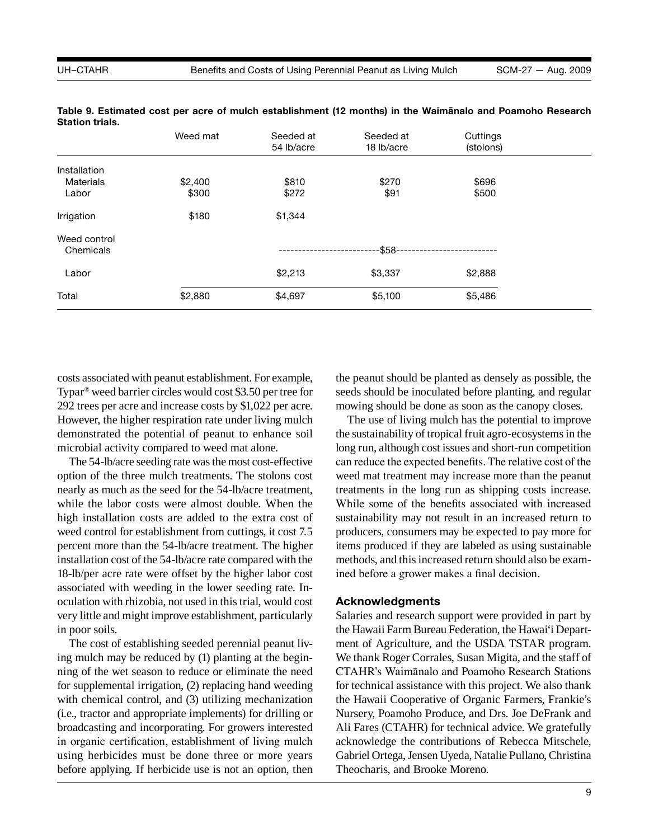|                  | Weed mat | Seeded at<br>54 lb/acre | Seeded at<br>18 lb/acre | Cuttings<br>(stolons) |  |
|------------------|----------|-------------------------|-------------------------|-----------------------|--|
| Installation     |          |                         |                         |                       |  |
| <b>Materials</b> | \$2,400  | \$810                   | \$270                   | \$696                 |  |
| Labor            | \$300    | \$272                   | \$91                    | \$500                 |  |
| Irrigation       | \$180    | \$1,344                 |                         |                       |  |
| Weed control     |          |                         |                         |                       |  |
| Chemicals        |          |                         | -\$58-                  |                       |  |
| Labor            |          | \$2,213                 | \$3,337                 | \$2,888               |  |
| Total            | \$2,880  | \$4,697                 | \$5,100                 | \$5,486               |  |

**Table 9. Estimated cost per acre of mulch establishment (12 months) in the Waimānalo and Poamoho Research Station trials.**

costs associated with peanut establishment. For example, Typar® weed barrier circles would cost \$3.50 per tree for 292 trees per acre and increase costs by \$1,022 per acre. However, the higher respiration rate under living mulch demonstrated the potential of peanut to enhance soil microbial activity compared to weed mat alone.

The 54-lb/acre seeding rate was the most cost-effective option of the three mulch treatments. The stolons cost nearly as much as the seed for the 54-lb/acre treatment, while the labor costs were almost double. When the high installation costs are added to the extra cost of weed control for establishment from cuttings, it cost 7.5 percent more than the 54-lb/acre treatment. The higher installation cost of the 54-lb/acre rate compared with the 18-lb/per acre rate were offset by the higher labor cost associated with weeding in the lower seeding rate. Inoculation with rhizobia, not used in this trial, would cost very little and might improve establishment, particularly in poor soils.

The cost of establishing seeded perennial peanut living mulch may be reduced by (1) planting at the beginning of the wet season to reduce or eliminate the need for supplemental irrigation, (2) replacing hand weeding with chemical control, and (3) utilizing mechanization (i.e., tractor and appropriate implements) for drilling or broadcasting and incorporating. For growers interested in organic certification, establishment of living mulch using herbicides must be done three or more years before applying. If herbicide use is not an option, then the peanut should be planted as densely as possible, the seeds should be inoculated before planting, and regular mowing should be done as soon as the canopy closes.

The use of living mulch has the potential to improve the sustainability of tropical fruit agro-ecosystems in the long run, although cost issues and short-run competition can reduce the expected benefits. The relative cost of the weed mat treatment may increase more than the peanut treatments in the long run as shipping costs increase. While some of the benefits associated with increased sustainability may not result in an increased return to producers, consumers may be expected to pay more for items produced if they are labeled as using sustainable methods, and this increased return should also be examined before a grower makes a final decision.

### **Acknowledgments**

Salaries and research support were provided in part by the Hawaii Farm Bureau Federation, the Hawai'i Department of Agriculture, and the USDA TSTAR program. We thank Roger Corrales, Susan Migita, and the staff of CTAHR's Waimānalo and Poamoho Research Stations for technical assistance with this project. We also thank the Hawaii Cooperative of Organic Farmers, Frankie's Nursery, Poamoho Produce, and Drs. Joe DeFrank and Ali Fares (CTAHR) for technical advice. We gratefully acknowledge the contributions of Rebecca Mitschele, Gabriel Ortega, Jensen Uyeda, Natalie Pullano, Christina Theocharis, and Brooke Moreno.